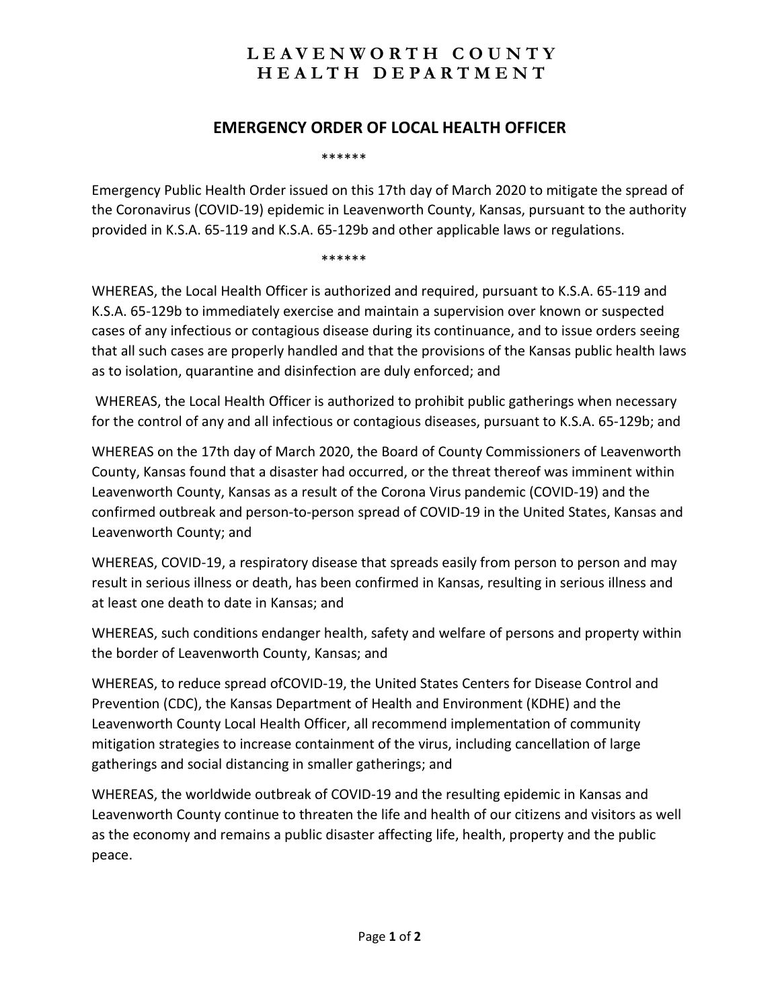## **LEAVENWORTH COUNTY HEALTH DEPARTMENT**

## **EMERGENCY ORDER OF LOCAL HEALTH OFFICER**

\*\*\*\*\*\*

Emergency Public Health Order issued on this 17th day of March 2020 to mitigate the spread of the Coronavirus (COVID-19) epidemic in Leavenworth County, Kansas, pursuant to the authority provided in K.S.A. 65-119 and K.S.A. 65-129b and other applicable laws or regulations.

\*\*\*\*\*\*

WHEREAS, the Local Health Officer is authorized and required, pursuant to K.S.A. 65-119 and K.S.A. 65-129b to immediately exercise and maintain a supervision over known or suspected cases of any infectious or contagious disease during its continuance, and to issue orders seeing that all such cases are properly handled and that the provisions of the Kansas public health laws as to isolation, quarantine and disinfection are duly enforced; and

WHEREAS, the Local Health Officer is authorized to prohibit public gatherings when necessary for the control of any and all infectious or contagious diseases, pursuant to K.S.A. 65-129b; and

WHEREAS on the 17th day of March 2020, the Board of County Commissioners of Leavenworth County, Kansas found that a disaster had occurred, or the threat thereof was imminent within Leavenworth County, Kansas as a result of the Corona Virus pandemic (COVID-19) and the confirmed outbreak and person-to-person spread of COVID-19 in the United States, Kansas and Leavenworth County; and

WHEREAS, COVID-19, a respiratory disease that spreads easily from person to person and may result in serious illness or death, has been confirmed in Kansas, resulting in serious illness and at least one death to date in Kansas; and

WHEREAS, such conditions endanger health, safety and welfare of persons and property within the border of Leavenworth County, Kansas; and

WHEREAS, to reduce spread ofCOVID-19, the United States Centers for Disease Control and Prevention (CDC), the Kansas Department of Health and Environment (KDHE) and the Leavenworth County Local Health Officer, all recommend implementation of community mitigation strategies to increase containment of the virus, including cancellation of large gatherings and social distancing in smaller gatherings; and

WHEREAS, the worldwide outbreak of COVID-19 and the resulting epidemic in Kansas and Leavenworth County continue to threaten the life and health of our citizens and visitors as well as the economy and remains a public disaster affecting life, health, property and the public peace.